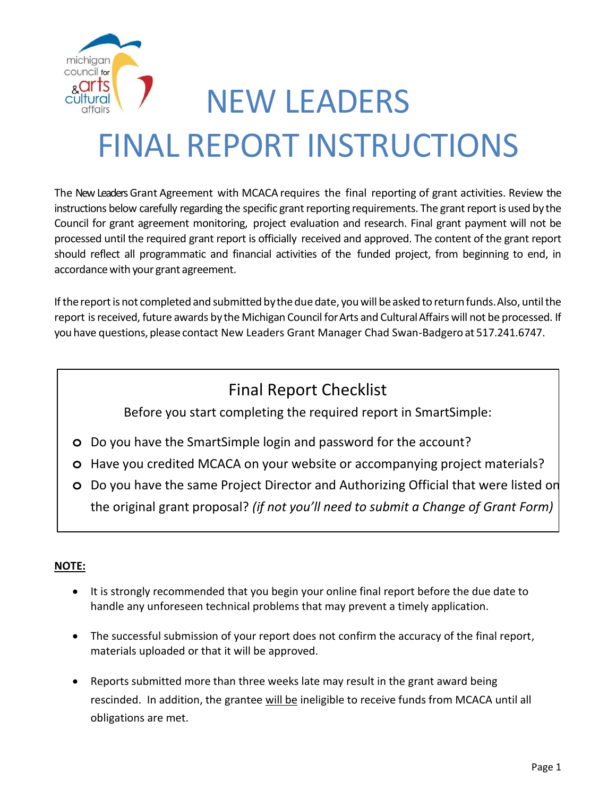

# NEW LEADERS FINAL REPORT INSTRUCTIONS

The New Leaders Grant Agreement with MCACA requires the final reporting of grant activities. Review the instructions below carefully regarding the specific grant reporting requirements. The grant report is used by the Council for grant agreement monitoring, project evaluation and research. Final grant payment will not be processed until the required grant report is officially received and approved. The content of the grant report should reflect all programmatic and financial activities of the funded project, from beginning to end, in accordance with your grant agreement.

If the report is not completed and submitted by the due date, you will be asked to return funds. Also, until the report is received, future awards by the Michigan Council for Arts and Cultural Affairs will not be processed. If you have questions, please contact New Leaders Grant Manager Chad Swan-Badgero at 517.241.6747.

## Final Report Checklist

Before you start completing the required report in SmartSimple:

- **o** Do you have the SmartSimple login and password for the account?
- **o** Have you credited MCACA on your website or accompanying project materials?
- **o** Do you have the same Project Director and Authorizing Official that were listed on the original grant proposal? *(if not you'll need to submit a Change of Grant Form)*

### **NOTE:**

- It is strongly recommended that you begin your online final report before the due date to handle any unforeseen technical problems that may prevent a timely application.
- The successful submission of your report does not confirm the accuracy of the final report, materials uploaded or that it will be approved.
- Reports submitted more than three weeks late may result in the grant award being rescinded. In addition, the grantee will be ineligible to receive funds from MCACA until all obligations are met.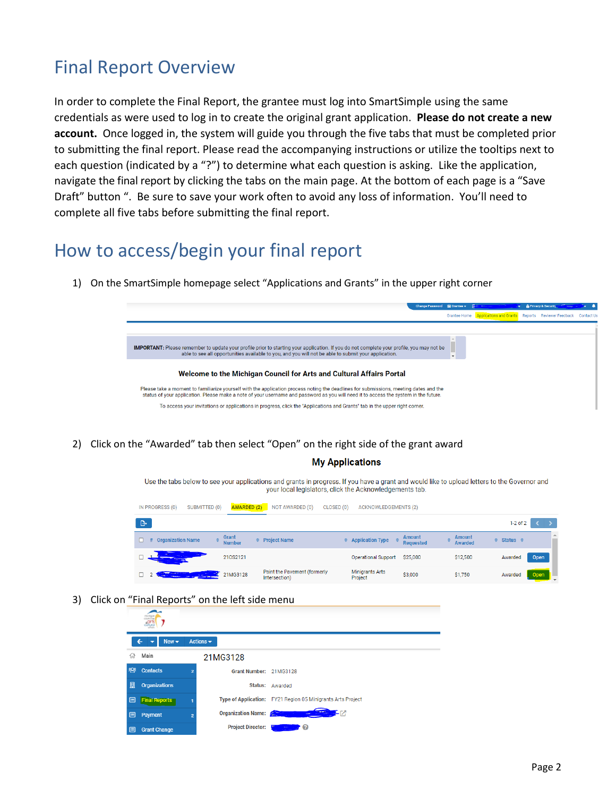## Final Report Overview

In order to complete the Final Report, the grantee must log into SmartSimple using the same credentials as were used to log in to create the original grant application. **Please do not create a new account.** Once logged in, the system will guide you through the five tabs that must be completed prior to submitting the final report. Please read the accompanying instructions or utilize the tooltips next to each question (indicated by a "?") to determine what each question is asking. Like the application, navigate the final report by clicking the tabs on the main page. At the bottom of each page is a "Save Draft" button ". Be sure to save your work often to avoid any loss of information. You'll need to complete all five tabs before submitting the final report.

## How to access/begin your final report

1) On the SmartSimple homepage select "Applications and Grants" in the upper right corner



2) Click on the "Awarded" tab then select "Open" on the right side of the grant award

#### **My Applications**

Use the tabs below to see your applications and grants in progress. If you have a grant and would like to upload letters to the Governor and your local legislators, click the Acknowledgements tab.

| IN PROGRESS (0)<br>SUBMITTED (0) | <b>AWARDED (2)</b>                     | NOT AWARDED (0)<br>CLOSED (0)                 | <b>ACKNOWLEDGEMENTS (2)</b>       |                                   |                          |                      |      |
|----------------------------------|----------------------------------------|-----------------------------------------------|-----------------------------------|-----------------------------------|--------------------------|----------------------|------|
| ு                                |                                        |                                               |                                   |                                   |                          | $1-2$ of $2$         |      |
| <b>Organization Name</b><br>#    | Grant<br>$\triangleq$<br><b>Number</b> | <b>Project Name</b>                           | # Application Type                | <b>Amount</b><br><b>Requested</b> | <b>Amount</b><br>Awarded | $\div$ Status $\div$ |      |
|                                  | 210S2121                               |                                               | <b>Operational Support</b>        | \$25,000                          | \$12,500                 | Awarded              | Open |
| <b>STATISTICS</b>                | 21MG3128                               | Paint the Pavement (formerly<br>Intersection) | <b>Minigrants Arts</b><br>Project | \$3,000                           | \$1,750                  | Awarded              | Open |

3) Click on "Final Reports" on the left side menu

|   | michigan<br>council is<br>cultural |                |                              |                                                             |
|---|------------------------------------|----------------|------------------------------|-------------------------------------------------------------|
|   | $New -$                            |                | Actions $\blacktriangledown$ |                                                             |
| ⋒ | Main                               |                | 21MG3128                     |                                                             |
| 幋 | <b>Contacts</b>                    | $\overline{2}$ | Grant Number: 21MG3128       |                                                             |
| 厠 | <b>Organizations</b>               |                |                              | Status: Awarded                                             |
| 圓 | <b>Final Reports</b>               |                |                              | Type of Application: FY21 Region 05 Minigrants Arts Project |
| 囯 | Payment                            | $\overline{2}$ | Organization Name: 2009      | <b>THE PA</b><br><b>Service</b>                             |
| 匡 | <b>Grant Change</b>                |                | <b>Project Director:</b>     | 70                                                          |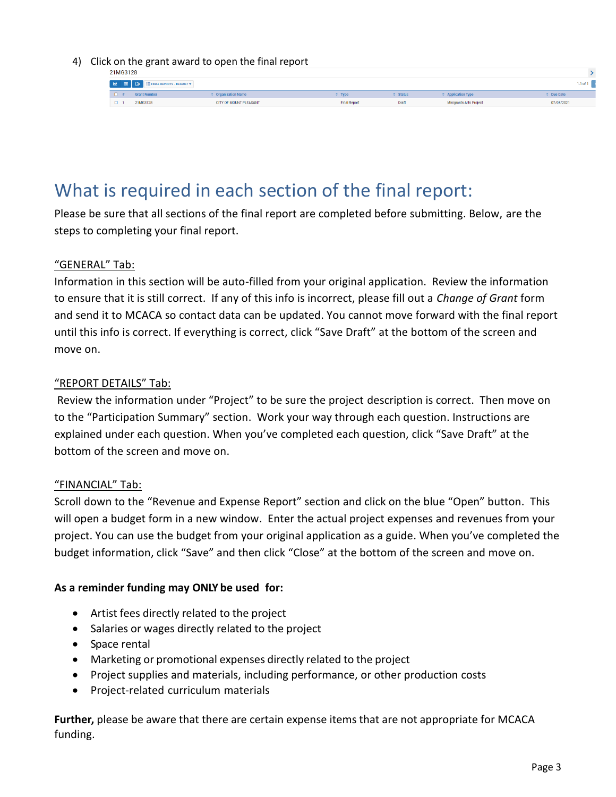#### 4) Click on the grant award to open the final report

| 21MG3128 |
|----------|

| $-11100120$ |  |                                  |                                                                                                                                                                                                                                     |                     |              |                           |              |
|-------------|--|----------------------------------|-------------------------------------------------------------------------------------------------------------------------------------------------------------------------------------------------------------------------------------|---------------------|--------------|---------------------------|--------------|
|             |  | E E B EFINAL REPORTS - DEFAULT + |                                                                                                                                                                                                                                     |                     |              |                           | $1-1$ of $1$ |
|             |  | <b>Grant Number</b>              | <b>Contracture Control</b> Contract Contract Contract Contract Contract Contract Contract Contract Contract Contract Contract Contract Contract Contract Contract Contract Contract Contract Contract Contract Contract Contract Co |                     | $e$ Status   | <b>4 Application Type</b> | # Due Date   |
|             |  | 21MG3128                         | CITY OF MOUNT PLEASANT                                                                                                                                                                                                              | <b>Final Report</b> | <b>Draft</b> | Minigrants Arts Project   | 07/05/2021   |

## What is required in each section of the final report:

Please be sure that all sections of the final report are completed before submitting. Below, are the steps to completing your final report.

#### "GENERAL" Tab:

Information in this section will be auto-filled from your original application. Review the information to ensure that it is still correct. If any of this info is incorrect, please fill out a *Change of Grant* form and send it to MCACA so contact data can be updated. You cannot move forward with the final report until this info is correct. If everything is correct, click "Save Draft" at the bottom of the screen and move on.

#### "REPORT DETAILS" Tab:

Review the information under "Project" to be sure the project description is correct. Then move on to the "Participation Summary" section. Work your way through each question. Instructions are explained under each question. When you've completed each question, click "Save Draft" at the bottom of the screen and move on.

#### "FINANCIAL" Tab:

Scroll down to the "Revenue and Expense Report" section and click on the blue "Open" button. This will open a budget form in a new window. Enter the actual project expenses and revenues from your project. You can use the budget from your original application as a guide. When you've completed the budget information, click "Save" and then click "Close" at the bottom of the screen and move on.

#### **As a reminder funding may ONLY be used for:**

- Artist fees directly related to the project
- Salaries or wages directly related to the project
- Space rental
- Marketing or promotional expenses directly related to the project
- Project supplies and materials, including performance, or other production costs
- Project-related curriculum materials

**Further,** please be aware that there are certain expense items that are not appropriate for MCACA funding.